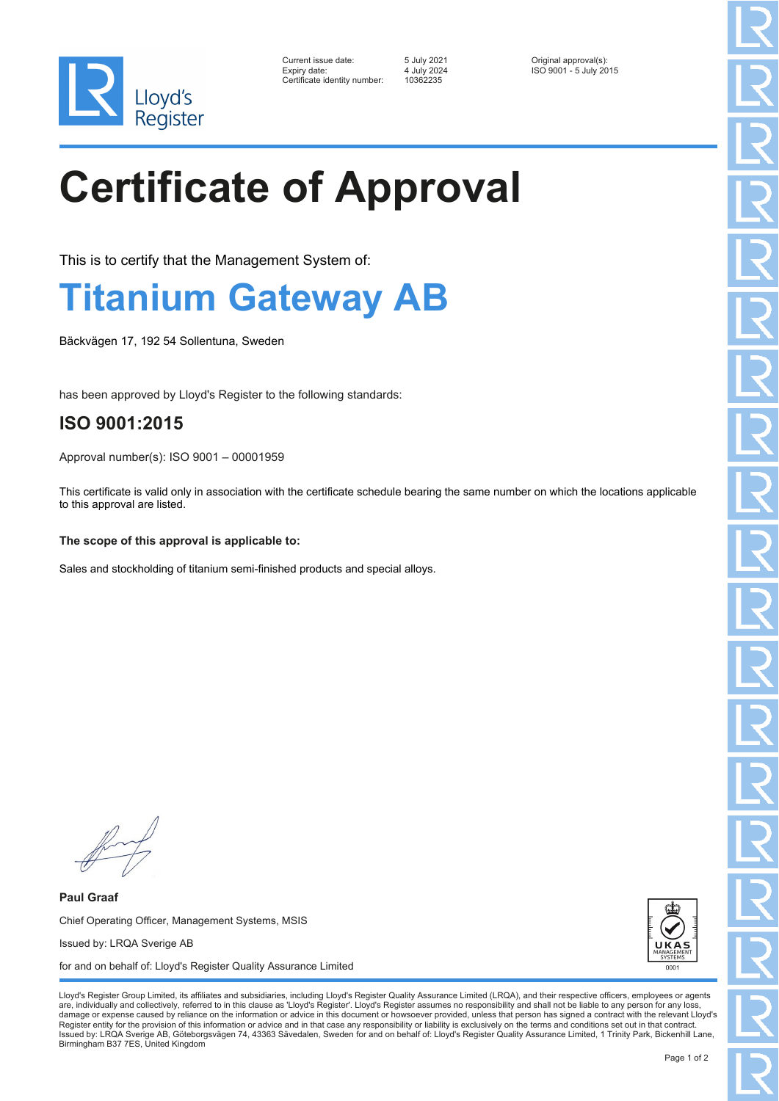

| Current issue date:          | 5 July 2021 | Original approval(s):  |
|------------------------------|-------------|------------------------|
| Expiry date:                 | 4 July 2024 | ISO 9001 - 5 July 2015 |
| Certificate identity number: | 10362235    |                        |

10362235

# **Certificate of Approval**

This is to certify that the Management System of:

### **Titanium Gateway AB**

Bäckvägen 17, 192 54 Sollentuna, Sweden

has been approved by Lloyd's Register to the following standards:

### **ISO 9001:2015**

Approval number(s): ISO 9001 – 00001959

This certificate is valid only in association with the certificate schedule bearing the same number on which the locations applicable to this approval are listed.

#### **The scope of this approval is applicable to:**

Sales and stockholding of titanium semi-finished products and special alloys.

**Paul Graaf** Chief Operating Officer, Management Systems, MSIS Issued by: LRQA Sverige AB for and on behalf of: Lloyd's Register Quality Assurance Limited



Lloyd's Register Group Limited, its affiliates and subsidiaries, including Lloyd's Register Quality Assurance Limited (LRQA), and their respective officers, employees or agents are, individually and collectively, referred to in this clause as 'Lloyd's Register'. Lloyd's Register assumes no responsibility and shall not be liable to any person for any los damage or expense caused by reliance on the information or advice in this document or howsoever provided, unless that person has signed a contract with the relevant Lloyd's<br>Register entity for the provision of this informa Issued by: LRQA Sverige AB, Göteborgsvägen 74, 43363 Sävedalen, Sweden for and on behalf of: Lloyd's Register Quality Assurance Limited, 1 Trinity Park, Bickenhill Lane, Birmingham B37 7ES, United Kingdom